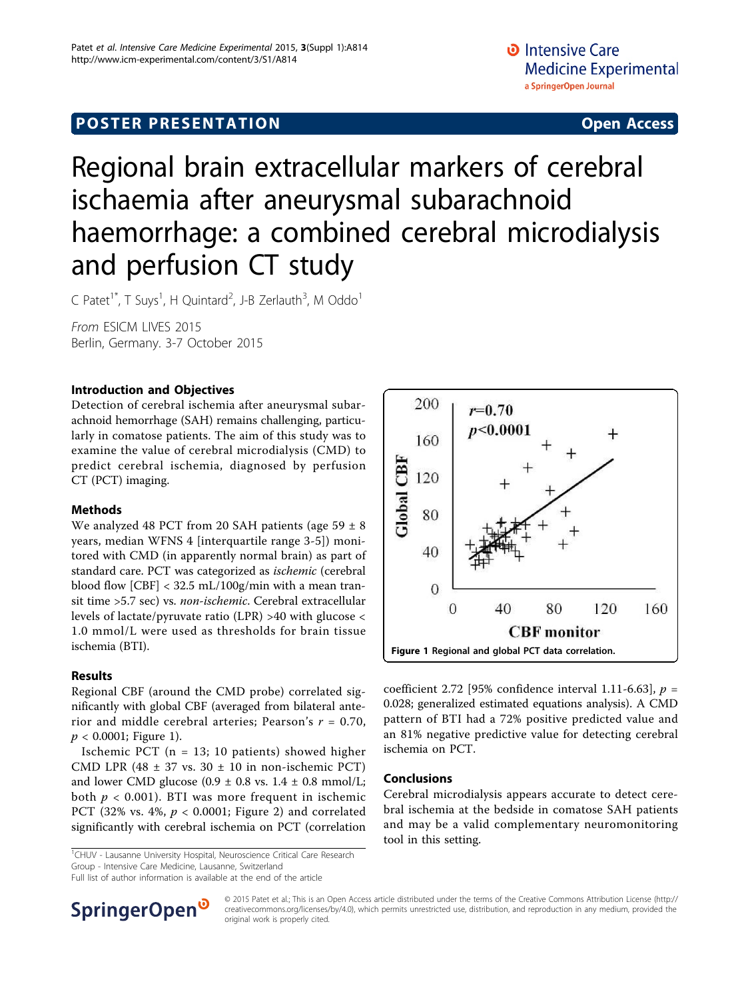## **POSTER PRESENTATION CONSUMING ACCESS**

# Regional brain extracellular markers of cerebral ischaemia after aneurysmal subarachnoid haemorrhage: a combined cerebral microdialysis and perfusion CT study

C Patet<sup>1\*</sup>, T Suys<sup>1</sup>, H Quintard<sup>2</sup>, J-B Zerlauth<sup>3</sup>, M Oddo<sup>1</sup>

From ESICM LIVES 2015 Berlin, Germany. 3-7 October 2015

### Introduction and Objectives

Detection of cerebral ischemia after aneurysmal subarachnoid hemorrhage (SAH) remains challenging, particularly in comatose patients. The aim of this study was to examine the value of cerebral microdialysis (CMD) to predict cerebral ischemia, diagnosed by perfusion CT (PCT) imaging.

### Methods

We analyzed 48 PCT from 20 SAH patients (age  $59 \pm 8$ years, median WFNS 4 [interquartile range 3-5]) monitored with CMD (in apparently normal brain) as part of standard care. PCT was categorized as ischemic (cerebral blood flow [CBF] < 32.5 mL/100g/min with a mean transit time >5.7 sec) vs. non-ischemic. Cerebral extracellular levels of lactate/pyruvate ratio (LPR) >40 with glucose < 1.0 mmol/L were used as thresholds for brain tissue ischemia (BTI).

#### Results

Regional CBF (around the CMD probe) correlated significantly with global CBF (averaged from bilateral anterior and middle cerebral arteries; Pearson's  $r = 0.70$ ,  $p < 0.0001$ ; Figure 1).

Ischemic PCT (n = 13; 10 patients) showed higher CMD LPR (48  $\pm$  37 vs. 30  $\pm$  10 in non-ischemic PCT) and lower CMD glucose  $(0.9 \pm 0.8 \text{ vs. } 1.4 \pm 0.8 \text{ mmol/L})$ ; both  $p < 0.001$ ). BTI was more frequent in ischemic PCT (32% vs. 4%,  $p < 0.0001$ ; Figure [2](#page-1-0)) and correlated significantly with cerebral ischemia on PCT (correlation

<sup>1</sup>CHUV - Lausanne University Hospital, Neuroscience Critical Care Research Group - Intensive Care Medicine, Lausanne, Switzerland

Full list of author information is available at the end of the article



coefficient 2.72 [95% confidence interval 1.11-6.63],  $p =$ 0.028; generalized estimated equations analysis). A CMD pattern of BTI had a 72% positive predicted value and an 81% negative predictive value for detecting cerebral ischemia on PCT.

#### Conclusions

Cerebral microdialysis appears accurate to detect cerebral ischemia at the bedside in comatose SAH patients and may be a valid complementary neuromonitoring tool in this setting.



© 2015 Patet et al.; This is an Open Access article distributed under the terms of the Creative Commons Attribution License [\(http://](http://creativecommons.org/licenses/by/4.0) [creativecommons.org/licenses/by/4.0](http://creativecommons.org/licenses/by/4.0)), which permits unrestricted use, distribution, and reproduction in any medium, provided the original work is properly cited.